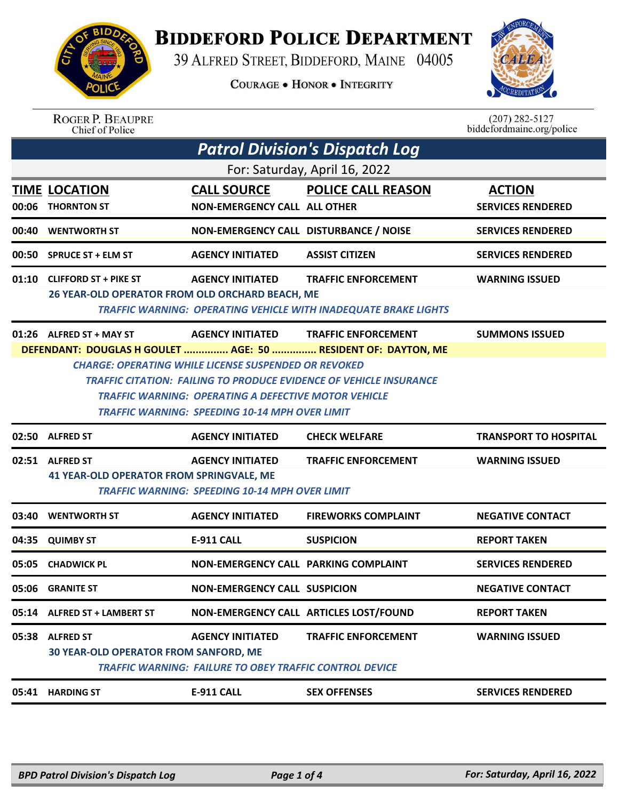

## **BIDDEFORD POLICE DEPARTMENT**

39 ALFRED STREET, BIDDEFORD, MAINE 04005

**COURAGE . HONOR . INTEGRITY** 



| <b>ROGER P. BEAUPRE</b> |
|-------------------------|
| Chief of Police         |

 $(207)$  282-5127<br>biddefordmaine.org/police

|       | <b>Patrol Division's Dispatch Log</b>           |                                                                |                                                                        |                              |  |  |  |  |
|-------|-------------------------------------------------|----------------------------------------------------------------|------------------------------------------------------------------------|------------------------------|--|--|--|--|
|       | For: Saturday, April 16, 2022                   |                                                                |                                                                        |                              |  |  |  |  |
|       | <b>TIME LOCATION</b>                            | <b>CALL SOURCE</b>                                             | <b>POLICE CALL REASON</b>                                              | <b>ACTION</b>                |  |  |  |  |
| 00:06 | <b>THORNTON ST</b>                              | <b>NON-EMERGENCY CALL ALL OTHER</b>                            |                                                                        | <b>SERVICES RENDERED</b>     |  |  |  |  |
| 00:40 | <b>WENTWORTH ST</b>                             | NON-EMERGENCY CALL DISTURBANCE / NOISE                         |                                                                        | <b>SERVICES RENDERED</b>     |  |  |  |  |
| 00:50 | <b>SPRUCE ST + ELM ST</b>                       | <b>AGENCY INITIATED</b>                                        | <b>ASSIST CITIZEN</b>                                                  | <b>SERVICES RENDERED</b>     |  |  |  |  |
|       | 01:10 CLIFFORD ST + PIKE ST                     | <b>AGENCY INITIATED</b>                                        | <b>TRAFFIC ENFORCEMENT</b>                                             | <b>WARNING ISSUED</b>        |  |  |  |  |
|       | 26 YEAR-OLD OPERATOR FROM OLD ORCHARD BEACH, ME |                                                                |                                                                        |                              |  |  |  |  |
|       |                                                 |                                                                | <b>TRAFFIC WARNING: OPERATING VEHICLE WITH INADEQUATE BRAKE LIGHTS</b> |                              |  |  |  |  |
|       | $01:26$ ALFRED ST + MAY ST                      | <b>AGENCY INITIATED</b>                                        | <b>TRAFFIC ENFORCEMENT</b>                                             | <b>SUMMONS ISSUED</b>        |  |  |  |  |
|       |                                                 |                                                                | DEFENDANT: DOUGLAS H GOULET  AGE: 50  RESIDENT OF: DAYTON, ME          |                              |  |  |  |  |
|       |                                                 | <b>CHARGE: OPERATING WHILE LICENSE SUSPENDED OR REVOKED</b>    |                                                                        |                              |  |  |  |  |
|       |                                                 |                                                                | TRAFFIC CITATION:  FAILING TO PRODUCE EVIDENCE OF VEHICLE INSURANCE    |                              |  |  |  |  |
|       |                                                 | <b>TRAFFIC WARNING: OPERATING A DEFECTIVE MOTOR VEHICLE</b>    |                                                                        |                              |  |  |  |  |
|       |                                                 |                                                                | <b>TRAFFIC WARNING: SPEEDING 10-14 MPH OVER LIMIT</b>                  |                              |  |  |  |  |
|       |                                                 |                                                                |                                                                        |                              |  |  |  |  |
|       | 02:50 ALFRED ST                                 | <b>AGENCY INITIATED</b>                                        | <b>CHECK WELFARE</b>                                                   | <b>TRANSPORT TO HOSPITAL</b> |  |  |  |  |
|       | 02:51 ALFRED ST                                 | <b>AGENCY INITIATED</b>                                        | <b>TRAFFIC ENFORCEMENT</b>                                             | <b>WARNING ISSUED</b>        |  |  |  |  |
|       | <b>41 YEAR-OLD OPERATOR FROM SPRINGVALE, ME</b> |                                                                |                                                                        |                              |  |  |  |  |
|       |                                                 | <b>TRAFFIC WARNING: SPEEDING 10-14 MPH OVER LIMIT</b>          |                                                                        |                              |  |  |  |  |
| 03:40 | <b>WENTWORTH ST</b>                             | <b>AGENCY INITIATED</b>                                        | <b>FIREWORKS COMPLAINT</b>                                             | <b>NEGATIVE CONTACT</b>      |  |  |  |  |
| 04:35 | <b>QUIMBY ST</b>                                | <b>E-911 CALL</b>                                              | <b>SUSPICION</b>                                                       | <b>REPORT TAKEN</b>          |  |  |  |  |
| 05:05 | <b>CHADWICK PL</b>                              | NON-EMERGENCY CALL PARKING COMPLAINT                           |                                                                        | <b>SERVICES RENDERED</b>     |  |  |  |  |
|       | 05:06 GRANITE ST                                | <b>NON-EMERGENCY CALL SUSPICION</b>                            |                                                                        | <b>NEGATIVE CONTACT</b>      |  |  |  |  |
| 05:14 | <b>ALFRED ST + LAMBERT ST</b>                   |                                                                | NON-EMERGENCY CALL ARTICLES LOST/FOUND                                 | <b>REPORT TAKEN</b>          |  |  |  |  |
| 05:38 | <b>ALFRED ST</b>                                | <b>AGENCY INITIATED</b>                                        | <b>TRAFFIC ENFORCEMENT</b>                                             | <b>WARNING ISSUED</b>        |  |  |  |  |
|       | <b>30 YEAR-OLD OPERATOR FROM SANFORD, ME</b>    |                                                                |                                                                        |                              |  |  |  |  |
|       |                                                 | <b>TRAFFIC WARNING: FAILURE TO OBEY TRAFFIC CONTROL DEVICE</b> |                                                                        |                              |  |  |  |  |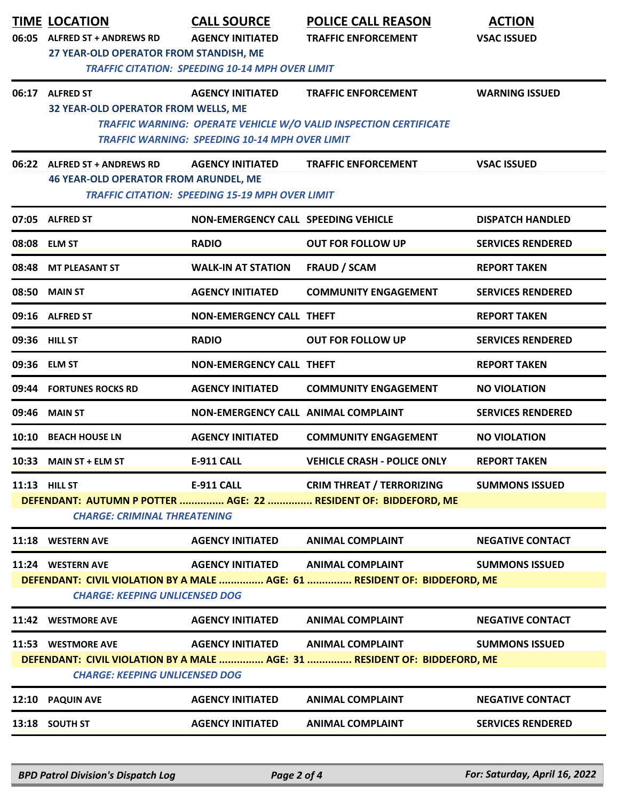| 06:05 | <b>TIME LOCATION</b><br><b>ALFRED ST + ANDREWS RD</b>                                                              | <b>CALL SOURCE</b><br><b>AGENCY INITIATED</b>                                     | <b>POLICE CALL REASON</b><br><b>TRAFFIC ENFORCEMENT</b>                   | <b>ACTION</b><br><b>VSAC ISSUED</b> |  |  |
|-------|--------------------------------------------------------------------------------------------------------------------|-----------------------------------------------------------------------------------|---------------------------------------------------------------------------|-------------------------------------|--|--|
|       | 27 YEAR-OLD OPERATOR FROM STANDISH, ME<br><b>TRAFFIC CITATION: SPEEDING 10-14 MPH OVER LIMIT</b>                   |                                                                                   |                                                                           |                                     |  |  |
| 06:17 | <b>ALFRED ST</b><br>32 YEAR-OLD OPERATOR FROM WELLS, ME                                                            | <b>AGENCY INITIATED</b>                                                           | <b>TRAFFIC ENFORCEMENT</b>                                                | <b>WARNING ISSUED</b>               |  |  |
|       |                                                                                                                    | <b>TRAFFIC WARNING: SPEEDING 10-14 MPH OVER LIMIT</b>                             | TRAFFIC WARNING: OPERATE VEHICLE W/O VALID INSPECTION CERTIFICATE         |                                     |  |  |
| 06:22 | <b>ALFRED ST + ANDREWS RD</b><br><b>46 YEAR-OLD OPERATOR FROM ARUNDEL, ME</b>                                      | <b>AGENCY INITIATED</b><br><b>TRAFFIC CITATION: SPEEDING 15-19 MPH OVER LIMIT</b> | <b>TRAFFIC ENFORCEMENT</b>                                                | <b>VSAC ISSUED</b>                  |  |  |
| 07:05 | <b>ALFRED ST</b>                                                                                                   | <b>NON-EMERGENCY CALL SPEEDING VEHICLE</b>                                        |                                                                           | <b>DISPATCH HANDLED</b>             |  |  |
| 08:08 | <b>ELM ST</b>                                                                                                      | <b>RADIO</b>                                                                      | <b>OUT FOR FOLLOW UP</b>                                                  | <b>SERVICES RENDERED</b>            |  |  |
| 08:48 | <b>MT PLEASANT ST</b>                                                                                              | <b>WALK-IN AT STATION</b>                                                         | <b>FRAUD / SCAM</b>                                                       | <b>REPORT TAKEN</b>                 |  |  |
| 08:50 | <b>MAIN ST</b>                                                                                                     | <b>AGENCY INITIATED</b>                                                           | <b>COMMUNITY ENGAGEMENT</b>                                               | <b>SERVICES RENDERED</b>            |  |  |
|       | 09:16 ALFRED ST                                                                                                    | <b>NON-EMERGENCY CALL THEFT</b>                                                   |                                                                           | <b>REPORT TAKEN</b>                 |  |  |
|       | 09:36 HILL ST                                                                                                      | <b>RADIO</b>                                                                      | <b>OUT FOR FOLLOW UP</b>                                                  | <b>SERVICES RENDERED</b>            |  |  |
|       | 09:36 ELM ST                                                                                                       | <b>NON-EMERGENCY CALL THEFT</b>                                                   |                                                                           | <b>REPORT TAKEN</b>                 |  |  |
| 09:44 | <b>FORTUNES ROCKS RD</b>                                                                                           | <b>AGENCY INITIATED</b>                                                           | <b>COMMUNITY ENGAGEMENT</b>                                               | <b>NO VIOLATION</b>                 |  |  |
| 09:46 | <b>MAIN ST</b>                                                                                                     | NON-EMERGENCY CALL ANIMAL COMPLAINT                                               |                                                                           | <b>SERVICES RENDERED</b>            |  |  |
| 10:10 | <b>BEACH HOUSE LN</b>                                                                                              | <b>AGENCY INITIATED</b>                                                           | <b>COMMUNITY ENGAGEMENT</b>                                               | <b>NO VIOLATION</b>                 |  |  |
|       | 10:33 MAIN ST + ELM ST                                                                                             | <b>E-911 CALL</b>                                                                 | <b>VEHICLE CRASH - POLICE ONLY</b>                                        | <b>REPORT TAKEN</b>                 |  |  |
|       | 11:13 HILL ST                                                                                                      | <b>E-911 CALL</b>                                                                 | <b>CRIM THREAT / TERRORIZING</b>                                          | <b>SUMMONS ISSUED</b>               |  |  |
|       | DEFENDANT: AUTUMN P POTTER  AGE: 22  RESIDENT OF: BIDDEFORD, ME<br><b>CHARGE: CRIMINAL THREATENING</b>             |                                                                                   |                                                                           |                                     |  |  |
| 11:18 | <b>WESTERN AVE</b>                                                                                                 | <b>AGENCY INITIATED</b>                                                           | <b>ANIMAL COMPLAINT</b>                                                   | <b>NEGATIVE CONTACT</b>             |  |  |
|       | 11:24 WESTERN AVE                                                                                                  | <b>AGENCY INITIATED</b>                                                           | <b>ANIMAL COMPLAINT</b>                                                   | <b>SUMMONS ISSUED</b>               |  |  |
|       | DEFENDANT: CIVIL VIOLATION BY A MALE  AGE: 61  RESIDENT OF: BIDDEFORD, ME<br><b>CHARGE: KEEPING UNLICENSED DOG</b> |                                                                                   |                                                                           |                                     |  |  |
|       | 11:42 WESTMORE AVE                                                                                                 | <b>AGENCY INITIATED</b>                                                           | <b>ANIMAL COMPLAINT</b>                                                   | <b>NEGATIVE CONTACT</b>             |  |  |
|       | 11:53 WESTMORE AVE                                                                                                 | <b>AGENCY INITIATED</b>                                                           | <b>ANIMAL COMPLAINT</b>                                                   | <b>SUMMONS ISSUED</b>               |  |  |
|       | <b>CHARGE: KEEPING UNLICENSED DOG</b>                                                                              |                                                                                   | DEFENDANT: CIVIL VIOLATION BY A MALE  AGE: 31  RESIDENT OF: BIDDEFORD, ME |                                     |  |  |
| 12:10 | <b>PAQUIN AVE</b>                                                                                                  | <b>AGENCY INITIATED</b>                                                           | <b>ANIMAL COMPLAINT</b>                                                   | <b>NEGATIVE CONTACT</b>             |  |  |
|       | 13:18 SOUTH ST                                                                                                     | <b>AGENCY INITIATED</b>                                                           | <b>ANIMAL COMPLAINT</b>                                                   | <b>SERVICES RENDERED</b>            |  |  |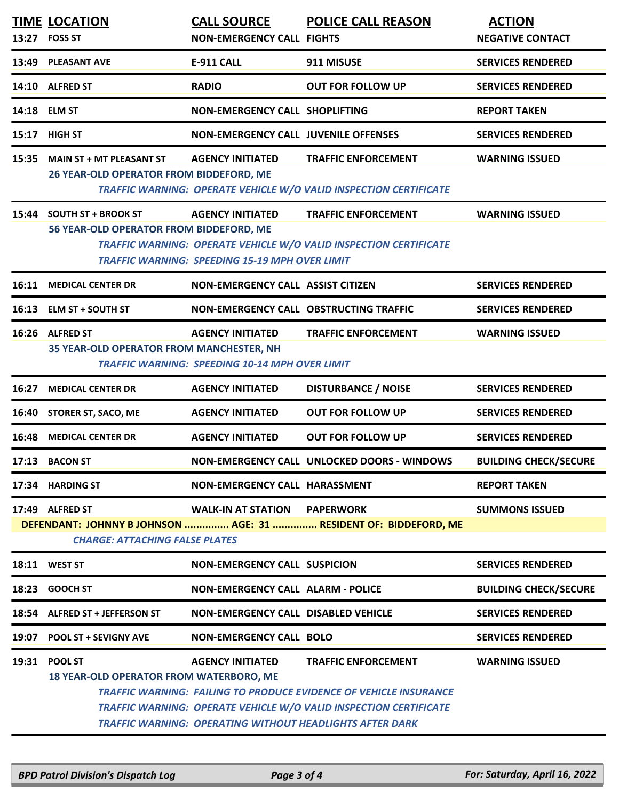|              | <b>TIME LOCATION</b><br>13:27 FOSS ST                                      | <b>CALL SOURCE</b><br><b>NON-EMERGENCY CALL FIGHTS</b>                           | <b>POLICE CALL REASON</b>                                                                                                                                                                                                                             | <b>ACTION</b><br><b>NEGATIVE CONTACT</b> |
|--------------|----------------------------------------------------------------------------|----------------------------------------------------------------------------------|-------------------------------------------------------------------------------------------------------------------------------------------------------------------------------------------------------------------------------------------------------|------------------------------------------|
|              | 13:49 PLEASANT AVE                                                         | <b>E-911 CALL</b>                                                                | 911 MISUSE                                                                                                                                                                                                                                            | <b>SERVICES RENDERED</b>                 |
|              | 14:10 ALFRED ST                                                            | <b>RADIO</b>                                                                     | <b>OUT FOR FOLLOW UP</b>                                                                                                                                                                                                                              | <b>SERVICES RENDERED</b>                 |
| 14:18 ELM ST |                                                                            | <b>NON-EMERGENCY CALL SHOPLIFTING</b>                                            |                                                                                                                                                                                                                                                       | <b>REPORT TAKEN</b>                      |
| 15:17        | <b>HIGH ST</b>                                                             | <b>NON-EMERGENCY CALL JUVENILE OFFENSES</b>                                      |                                                                                                                                                                                                                                                       | <b>SERVICES RENDERED</b>                 |
| 15:35        | <b>MAIN ST + MT PLEASANT ST</b><br>26 YEAR-OLD OPERATOR FROM BIDDEFORD, ME | <b>AGENCY INITIATED</b>                                                          | <b>TRAFFIC ENFORCEMENT</b><br>TRAFFIC WARNING: OPERATE VEHICLE W/O VALID INSPECTION CERTIFICATE                                                                                                                                                       | <b>WARNING ISSUED</b>                    |
| 15:44        | <b>SOUTH ST + BROOK ST</b><br>56 YEAR-OLD OPERATOR FROM BIDDEFORD, ME      | <b>AGENCY INITIATED</b><br><b>TRAFFIC WARNING: SPEEDING 15-19 MPH OVER LIMIT</b> | <b>TRAFFIC ENFORCEMENT</b><br><b>TRAFFIC WARNING: OPERATE VEHICLE W/O VALID INSPECTION CERTIFICATE</b>                                                                                                                                                | <b>WARNING ISSUED</b>                    |
|              | <b>16:11 MEDICAL CENTER DR</b>                                             | NON-EMERGENCY CALL ASSIST CITIZEN                                                |                                                                                                                                                                                                                                                       | <b>SERVICES RENDERED</b>                 |
|              | 16:13 ELM ST + SOUTH ST                                                    |                                                                                  | NON-EMERGENCY CALL OBSTRUCTING TRAFFIC                                                                                                                                                                                                                | <b>SERVICES RENDERED</b>                 |
|              | 16:26 ALFRED ST<br><b>35 YEAR-OLD OPERATOR FROM MANCHESTER, NH</b>         | <b>AGENCY INITIATED</b><br><b>TRAFFIC WARNING: SPEEDING 10-14 MPH OVER LIMIT</b> | <b>TRAFFIC ENFORCEMENT</b>                                                                                                                                                                                                                            | <b>WARNING ISSUED</b>                    |
| 16:27        | <b>MEDICAL CENTER DR</b>                                                   | <b>AGENCY INITIATED</b>                                                          | <b>DISTURBANCE / NOISE</b>                                                                                                                                                                                                                            | <b>SERVICES RENDERED</b>                 |
| 16:40        | <b>STORER ST, SACO, ME</b>                                                 | <b>AGENCY INITIATED</b>                                                          | <b>OUT FOR FOLLOW UP</b>                                                                                                                                                                                                                              | <b>SERVICES RENDERED</b>                 |
|              | <b>16:48 MEDICAL CENTER DR</b>                                             | <b>AGENCY INITIATED</b>                                                          | <b>OUT FOR FOLLOW UP</b>                                                                                                                                                                                                                              | <b>SERVICES RENDERED</b>                 |
|              | 17:13 BACON ST                                                             |                                                                                  | NON-EMERGENCY CALL UNLOCKED DOORS - WINDOWS                                                                                                                                                                                                           | <b>BUILDING CHECK/SECURE</b>             |
|              | 17:34 HARDING ST                                                           | NON-EMERGENCY CALL HARASSMENT                                                    |                                                                                                                                                                                                                                                       | <b>REPORT TAKEN</b>                      |
|              | 17:49 ALFRED ST<br><b>CHARGE: ATTACHING FALSE PLATES</b>                   | <b>WALK-IN AT STATION PAPERWORK</b>                                              | DEFENDANT: JOHNNY B JOHNSON  AGE: 31  RESIDENT OF: BIDDEFORD, ME                                                                                                                                                                                      | <b>SUMMONS ISSUED</b>                    |
|              | 18:11 WEST ST                                                              | <b>NON-EMERGENCY CALL SUSPICION</b>                                              |                                                                                                                                                                                                                                                       | <b>SERVICES RENDERED</b>                 |
| 18:23        | <b>GOOCH ST</b>                                                            | <b>NON-EMERGENCY CALL ALARM - POLICE</b>                                         |                                                                                                                                                                                                                                                       | <b>BUILDING CHECK/SECURE</b>             |
|              | 18:54 ALFRED ST + JEFFERSON ST                                             | <b>NON-EMERGENCY CALL DISABLED VEHICLE</b>                                       |                                                                                                                                                                                                                                                       | <b>SERVICES RENDERED</b>                 |
| 19:07        | <b>POOL ST + SEVIGNY AVE</b>                                               | <b>NON-EMERGENCY CALL BOLO</b>                                                   |                                                                                                                                                                                                                                                       | <b>SERVICES RENDERED</b>                 |
|              | 19:31 POOL ST<br><b>18 YEAR-OLD OPERATOR FROM WATERBORO, ME</b>            | <b>AGENCY INITIATED</b>                                                          | <b>TRAFFIC ENFORCEMENT</b><br><b>TRAFFIC WARNING: FAILING TO PRODUCE EVIDENCE OF VEHICLE INSURANCE</b><br><b>TRAFFIC WARNING: OPERATE VEHICLE W/O VALID INSPECTION CERTIFICATE</b><br><b>TRAFFIC WARNING: OPERATING WITHOUT HEADLIGHTS AFTER DARK</b> | <b>WARNING ISSUED</b>                    |